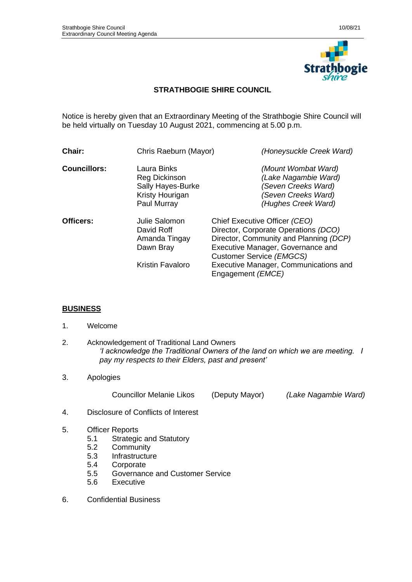

## **STRATHBOGIE SHIRE COUNCIL**

Notice is hereby given that an Extraordinary Meeting of the Strathbogie Shire Council will be held virtually on Tuesday 10 August 2021, commencing at 5.00 p.m.

| Chair:              | Chris Raeburn (Mayor)                                                                      | (Honeysuckle Creek Ward)                                                                                                                                                                                                  |
|---------------------|--------------------------------------------------------------------------------------------|---------------------------------------------------------------------------------------------------------------------------------------------------------------------------------------------------------------------------|
| <b>Councillors:</b> | Laura Binks<br><b>Reg Dickinson</b><br>Sally Hayes-Burke<br>Kristy Hourigan<br>Paul Murray | (Mount Wombat Ward)<br>(Lake Nagambie Ward)<br>(Seven Creeks Ward)<br>(Seven Creeks Ward)<br>(Hughes Creek Ward)                                                                                                          |
| Officers:           | Julie Salomon<br>David Roff<br>Amanda Tingay<br>Dawn Bray<br>Kristin Favaloro              | Chief Executive Officer (CEO)<br>Director, Corporate Operations (DCO)<br>Director, Community and Planning (DCP)<br>Executive Manager, Governance and<br>Customer Service (EMGCS)<br>Executive Manager, Communications and |
|                     |                                                                                            | Engagement ( <i>EMCE</i> )                                                                                                                                                                                                |

## **BUSINESS**

- 1. Welcome
- 2. Acknowledgement of Traditional Land Owners *'I acknowledge the Traditional Owners of the land on which we are meeting. I pay my respects to their Elders, past and present'*
- 3. Apologies

Councillor Melanie Likos (Deputy Mayor) *(Lake Nagambie Ward)*

- 4. Disclosure of Conflicts of Interest
- 5. Officer Reports
	- 5.1 Strategic and Statutory
	- 5.2 Community
	- 5.3 Infrastructure<br>5.4 Corporate
	- Corporate
	- 5.5 Governance and Customer Service
	- 5.6 Executive
- 6. Confidential Business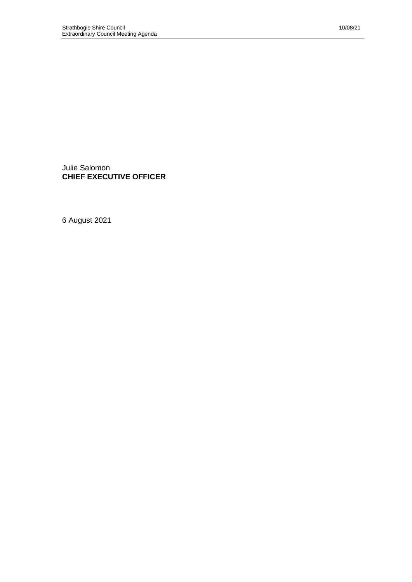Julie Salomon **CHIEF EXECUTIVE OFFICER**

6 August 2021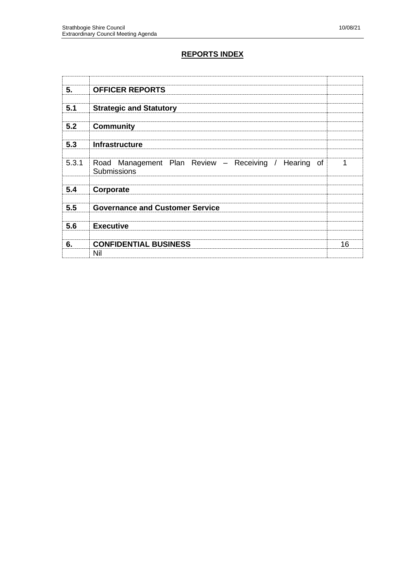## **REPORTS INDEX**

| 5.    | <b>OFFICER REPORTS</b>                                              |    |
|-------|---------------------------------------------------------------------|----|
| 5.1   | <b>Strategic and Statutory</b>                                      |    |
| 5.2   | <b>Community</b>                                                    |    |
| 5.3   | Infrastructure                                                      |    |
| 5.3.1 | Road Management Plan Review - Receiving / Hearing of<br>Submissions | 1  |
| 5.4   | Corporate                                                           |    |
| 5.5   | <b>Governance and Customer Service</b>                              |    |
| 5.6   | <b>Executive</b>                                                    |    |
| 6.    | <b>CONFIDENTIAL BUSINESS</b><br>Nil                                 | 16 |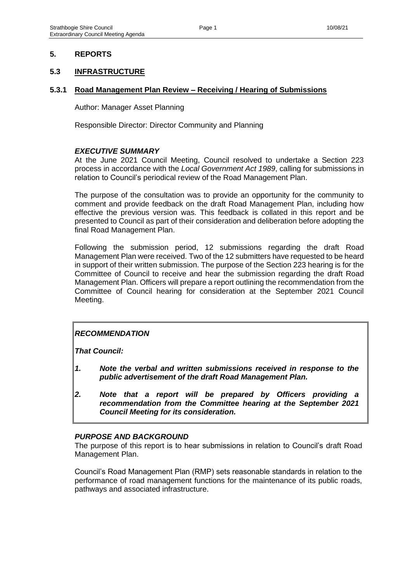#### **5. REPORTS**

#### **5.3 INFRASTRUCTURE**

#### **5.3.1 Road Management Plan Review – Receiving / Hearing of Submissions**

Author: Manager Asset Planning

Responsible Director: Director Community and Planning

#### *EXECUTIVE SUMMARY*

At the June 2021 Council Meeting, Council resolved to undertake a Section 223 process in accordance with the *Local Government Act 1989*, calling for submissions in relation to Council's periodical review of the Road Management Plan.

The purpose of the consultation was to provide an opportunity for the community to comment and provide feedback on the draft Road Management Plan, including how effective the previous version was. This feedback is collated in this report and be presented to Council as part of their consideration and deliberation before adopting the final Road Management Plan.

Following the submission period, 12 submissions regarding the draft Road Management Plan were received. Two of the 12 submitters have requested to be heard in support of their written submission. The purpose of the Section 223 hearing is for the Committee of Council to receive and hear the submission regarding the draft Road Management Plan. Officers will prepare a report outlining the recommendation from the Committee of Council hearing for consideration at the September 2021 Council Meeting.

## *RECOMMENDATION*

*That Council:*

- *1. Note the verbal and written submissions received in response to the public advertisement of the draft Road Management Plan.*
- *2. Note that a report will be prepared by Officers providing a recommendation from the Committee hearing at the September 2021 Council Meeting for its consideration.*

#### *PURPOSE AND BACKGROUND*

The purpose of this report is to hear submissions in relation to Council's draft Road Management Plan.

Council's Road Management Plan (RMP) sets reasonable standards in relation to the performance of road management functions for the maintenance of its public roads, pathways and associated infrastructure.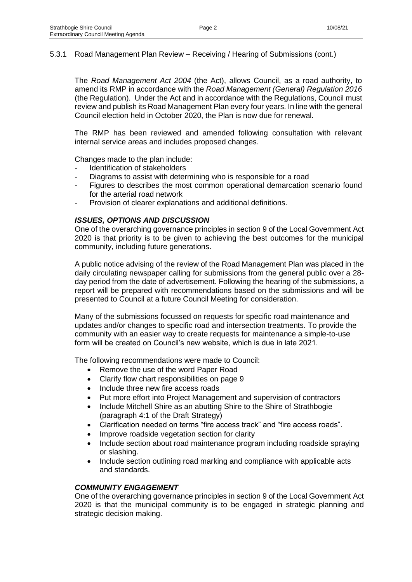The *Road Management Act 2004* (the Act), allows Council, as a road authority, to amend its RMP in accordance with the *Road Management (General) Regulation 2016* (the Regulation). Under the Act and in accordance with the Regulations, Council must review and publish its Road Management Plan every four years. In line with the general Council election held in October 2020, the Plan is now due for renewal.

The RMP has been reviewed and amended following consultation with relevant internal service areas and includes proposed changes.

Changes made to the plan include:

- Identification of stakeholders
- Diagrams to assist with determining who is responsible for a road
- Figures to describes the most common operational demarcation scenario found for the arterial road network
- Provision of clearer explanations and additional definitions.

#### *ISSUES, OPTIONS AND DISCUSSION*

One of the overarching governance principles in section 9 of the Local Government Act 2020 is that priority is to be given to achieving the best outcomes for the municipal community, including future generations.

A public notice advising of the review of the Road Management Plan was placed in the daily circulating newspaper calling for submissions from the general public over a 28 day period from the date of advertisement. Following the hearing of the submissions, a report will be prepared with recommendations based on the submissions and will be presented to Council at a future Council Meeting for consideration.

Many of the submissions focussed on requests for specific road maintenance and updates and/or changes to specific road and intersection treatments. To provide the community with an easier way to create requests for maintenance a simple-to-use form will be created on Council's new website, which is due in late 2021.

The following recommendations were made to Council:

- Remove the use of the word Paper Road
- Clarify flow chart responsibilities on page 9
- Include three new fire access roads
- Put more effort into Project Management and supervision of contractors
- Include Mitchell Shire as an abutting Shire to the Shire of Strathbogie (paragraph 4:1 of the Draft Strategy)
- Clarification needed on terms "fire access track" and "fire access roads".
- Improve roadside vegetation section for clarity
- Include section about road maintenance program including roadside spraying or slashing.
- Include section outlining road marking and compliance with applicable acts and standards.

#### *COMMUNITY ENGAGEMENT*

One of the overarching governance principles in section 9 of the Local Government Act 2020 is that the municipal community is to be engaged in strategic planning and strategic decision making.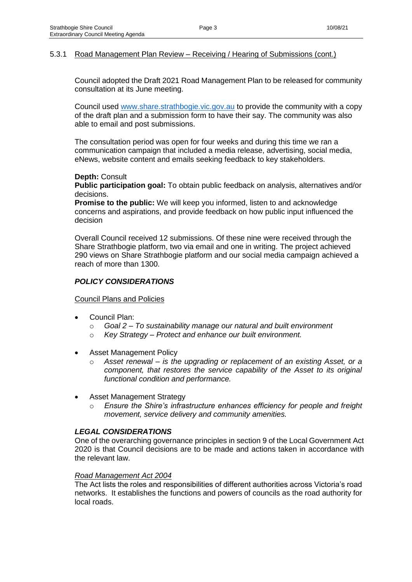Council adopted the Draft 2021 Road Management Plan to be released for community consultation at its June meeting.

Council used [www.share.strathbogie.vic.gov.au](http://www.share.strathbogie.vic.gov.au/) to provide the community with a copy of the draft plan and a submission form to have their say. The community was also able to email and post submissions.

The consultation period was open for four weeks and during this time we ran a communication campaign that included a media release, advertising, social media, eNews, website content and emails seeking feedback to key stakeholders.

#### **Depth:** Consult

**Public participation goal:** To obtain public feedback on analysis, alternatives and/or decisions.

**Promise to the public:** We will keep you informed, listen to and acknowledge concerns and aspirations, and provide feedback on how public input influenced the decision

Overall Council received 12 submissions. Of these nine were received through the Share Strathbogie platform, two via email and one in writing. The project achieved 290 views on Share Strathbogie platform and our social media campaign achieved a reach of more than 1300.

#### *POLICY CONSIDERATIONS*

Council Plans and Policies

- Council Plan:
	- o *Goal 2 – To sustainability manage our natural and built environment*
	- o *Key Strategy – Protect and enhance our built environment.*
- Asset Management Policy
	- o *Asset renewal – is the upgrading or replacement of an existing Asset, or a component, that restores the service capability of the Asset to its original functional condition and performance.*
- Asset Management Strategy
	- o *Ensure the Shire's infrastructure enhances efficiency for people and freight movement, service delivery and community amenities.*

#### *LEGAL CONSIDERATIONS*

One of the overarching governance principles in section 9 of the Local Government Act 2020 is that Council decisions are to be made and actions taken in accordance with the relevant law.

#### *Road Management Act 2004*

The Act lists the roles and responsibilities of different authorities across Victoria's road networks. It establishes the functions and powers of councils as the road authority for local roads.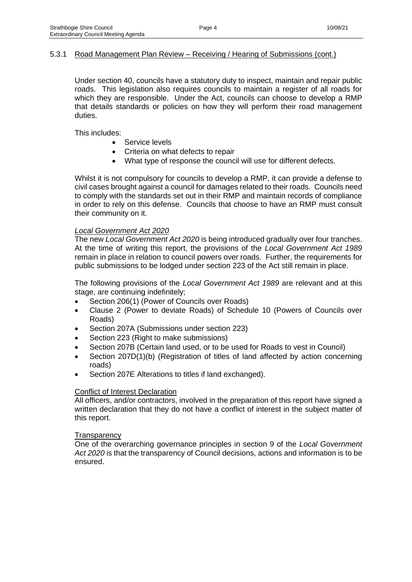Under section 40, councils have a statutory duty to inspect, maintain and repair public roads. This legislation also requires councils to maintain a register of all roads for which they are responsible. Under the Act, councils can choose to develop a RMP that details standards or policies on how they will perform their road management duties.

This includes:

- Service levels
- Criteria on what defects to repair
- What type of response the council will use for different defects.

Whilst it is not compulsory for councils to develop a RMP, it can provide a defense to civil cases brought against a council for damages related to their roads. Councils need to comply with the standards set out in their RMP and maintain records of compliance in order to rely on this defense. Councils that choose to have an RMP must consult their community on it.

#### *Local Government Act 2020*

The new *Local Government Act 2020* is being introduced gradually over four tranches. At the time of writing this report, the provisions of the *Local Government Act 1989* remain in place in relation to council powers over roads. Further, the requirements for public submissions to be lodged under section 223 of the Act still remain in place.

The following provisions of the *Local Government Act 1989* are relevant and at this stage, are continuing indefinitely;

- Section 206(1) (Power of Councils over Roads)
- Clause 2 (Power to deviate Roads) of Schedule 10 (Powers of Councils over Roads)
- Section 207A (Submissions under section 223)
- Section 223 (Right to make submissions)
- Section 207B (Certain land used, or to be used for Roads to vest in Council)
- Section 207D(1)(b) (Registration of titles of land affected by action concerning roads)
- Section 207E Alterations to titles if land exchanged).

#### Conflict of Interest Declaration

All officers, and/or contractors, involved in the preparation of this report have signed a written declaration that they do not have a conflict of interest in the subject matter of this report.

#### **Transparency**

One of the overarching governance principles in section 9 of the *Local Government Act 2020* is that the transparency of Council decisions, actions and information is to be ensured.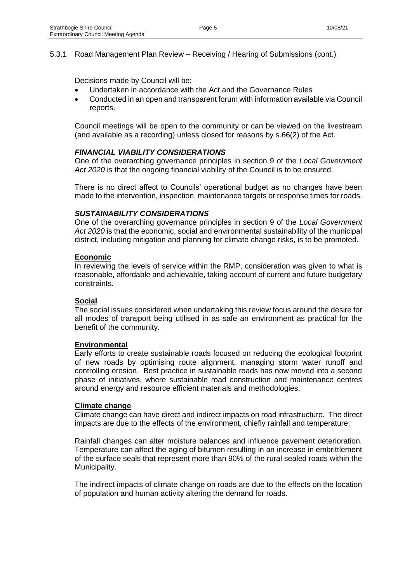Decisions made by Council will be:

- Undertaken in accordance with the Act and the Governance Rules
- Conducted in an open and transparent forum with information available via Council reports.

Council meetings will be open to the community or can be viewed on the livestream (and available as a recording) unless closed for reasons by s.66(2) of the Act.

#### *FINANCIAL VIABILITY CONSIDERATIONS*

One of the overarching governance principles in section 9 of the *Local Government Act 2020* is that the ongoing financial viability of the Council is to be ensured.

There is no direct affect to Councils' operational budget as no changes have been made to the intervention, inspection, maintenance targets or response times for roads.

#### *SUSTAINABILITY CONSIDERATIONS*

One of the overarching governance principles in section 9 of the *Local Government Act 2020* is that the economic, social and environmental sustainability of the municipal district, including mitigation and planning for climate change risks, is to be promoted.

#### **Economic**

In reviewing the levels of service within the RMP, consideration was given to what is reasonable, affordable and achievable, taking account of current and future budgetary constraints.

#### **Social**

The social issues considered when undertaking this review focus around the desire for all modes of transport being utilised in as safe an environment as practical for the benefit of the community.

#### **Environmental**

Early efforts to create sustainable roads focused on reducing the ecological footprint of new roads by optimising route alignment, managing storm water runoff and controlling erosion. Best practice in sustainable roads has now moved into a second phase of initiatives, where sustainable road construction and maintenance centres around energy and resource efficient materials and methodologies.

#### **Climate change**

Climate change can have direct and indirect impacts on road infrastructure. The direct impacts are due to the effects of the environment, chiefly rainfall and temperature.

Rainfall changes can alter moisture balances and influence pavement deterioration. Temperature can affect the aging of bitumen resulting in an increase in embrittlement of the surface seals that represent more than 90% of the rural sealed roads within the Municipality.

The indirect impacts of climate change on roads are due to the effects on the location of population and human activity altering the demand for roads.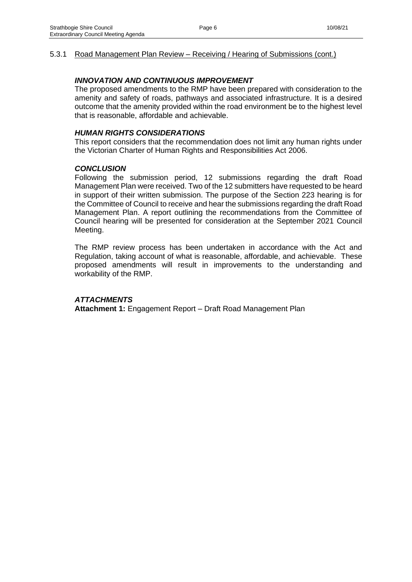#### *INNOVATION AND CONTINUOUS IMPROVEMENT*

The proposed amendments to the RMP have been prepared with consideration to the amenity and safety of roads, pathways and associated infrastructure. It is a desired outcome that the amenity provided within the road environment be to the highest level that is reasonable, affordable and achievable.

#### *HUMAN RIGHTS CONSIDERATIONS*

This report considers that the recommendation does not limit any human rights under the Victorian Charter of Human Rights and Responsibilities Act 2006.

#### *CONCLUSION*

Following the submission period, 12 submissions regarding the draft Road Management Plan were received. Two of the 12 submitters have requested to be heard in support of their written submission. The purpose of the Section 223 hearing is for the Committee of Council to receive and hear the submissions regarding the draft Road Management Plan. A report outlining the recommendations from the Committee of Council hearing will be presented for consideration at the September 2021 Council Meeting.

The RMP review process has been undertaken in accordance with the Act and Regulation, taking account of what is reasonable, affordable, and achievable. These proposed amendments will result in improvements to the understanding and workability of the RMP.

#### *ATTACHMENTS*

**Attachment 1:** Engagement Report – Draft Road Management Plan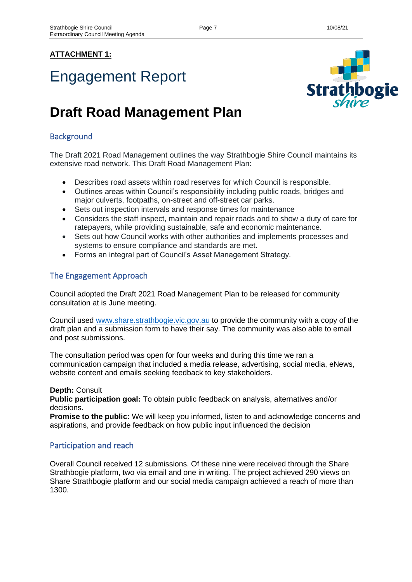## **ATTACHMENT 1:**

# Engagement Report



## **Draft Road Management Plan**

## **Background**

The Draft 2021 Road Management outlines the way Strathbogie Shire Council maintains its extensive road network. This Draft Road Management Plan:

- Describes road assets within road reserves for which Council is responsible.
- Outlines areas within Council's responsibility including public roads, bridges and major culverts, footpaths, on-street and off-street car parks.
- Sets out inspection intervals and response times for maintenance
- Considers the staff inspect, maintain and repair roads and to show a duty of care for ratepayers, while providing sustainable, safe and economic maintenance.
- Sets out how Council works with other authorities and implements processes and systems to ensure compliance and standards are met.
- Forms an integral part of Council's Asset Management Strategy.

## The Engagement Approach

Council adopted the Draft 2021 Road Management Plan to be released for community consultation at is June meeting.

Council used [www.share.strathbogie.vic.gov.au](http://www.share.strathbogie.vic.gov.au/) to provide the community with a copy of the draft plan and a submission form to have their say. The community was also able to email and post submissions.

The consultation period was open for four weeks and during this time we ran a communication campaign that included a media release, advertising, social media, eNews, website content and emails seeking feedback to key stakeholders.

#### **Depth:** Consult

**Public participation goal:** To obtain public feedback on analysis, alternatives and/or decisions.

**Promise to the public:** We will keep you informed, listen to and acknowledge concerns and aspirations, and provide feedback on how public input influenced the decision

## Participation and reach

Overall Council received 12 submissions. Of these nine were received through the Share Strathbogie platform, two via email and one in writing. The project achieved 290 views on Share Strathbogie platform and our social media campaign achieved a reach of more than 1300.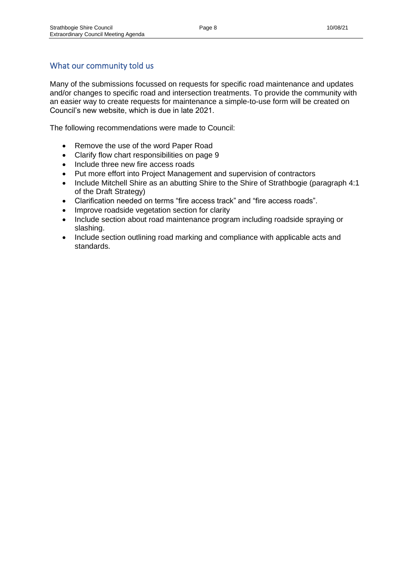## What our community told us

Many of the submissions focussed on requests for specific road maintenance and updates and/or changes to specific road and intersection treatments. To provide the community with an easier way to create requests for maintenance a simple-to-use form will be created on Council's new website, which is due in late 2021.

The following recommendations were made to Council:

- Remove the use of the word Paper Road
- Clarify flow chart responsibilities on page 9
- Include three new fire access roads
- Put more effort into Project Management and supervision of contractors
- Include Mitchell Shire as an abutting Shire to the Shire of Strathbogie (paragraph 4:1) of the Draft Strategy)
- Clarification needed on terms "fire access track" and "fire access roads".
- Improve roadside vegetation section for clarity
- Include section about road maintenance program including roadside spraying or slashing.
- Include section outlining road marking and compliance with applicable acts and standards.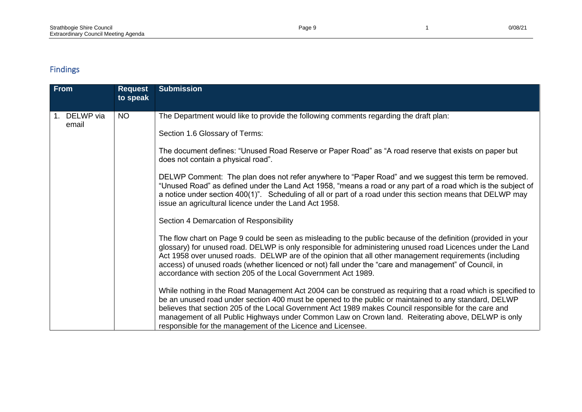## Findings

| <b>From</b> |                    | <b>Request</b><br>to speak | <b>Submission</b>                                                                                                                                                                                                                                                                                                                                                                                                                                                                                                |
|-------------|--------------------|----------------------------|------------------------------------------------------------------------------------------------------------------------------------------------------------------------------------------------------------------------------------------------------------------------------------------------------------------------------------------------------------------------------------------------------------------------------------------------------------------------------------------------------------------|
|             | DELWP via<br>email | <b>NO</b>                  | The Department would like to provide the following comments regarding the draft plan:                                                                                                                                                                                                                                                                                                                                                                                                                            |
|             |                    |                            | Section 1.6 Glossary of Terms:                                                                                                                                                                                                                                                                                                                                                                                                                                                                                   |
|             |                    |                            | The document defines: "Unused Road Reserve or Paper Road" as "A road reserve that exists on paper but<br>does not contain a physical road".                                                                                                                                                                                                                                                                                                                                                                      |
|             |                    |                            | DELWP Comment: The plan does not refer anywhere to "Paper Road" and we suggest this term be removed.<br>"Unused Road" as defined under the Land Act 1958, "means a road or any part of a road which is the subject of<br>a notice under section 400(1)". Scheduling of all or part of a road under this section means that DELWP may<br>issue an agricultural licence under the Land Act 1958.                                                                                                                   |
|             |                    |                            | Section 4 Demarcation of Responsibility                                                                                                                                                                                                                                                                                                                                                                                                                                                                          |
|             |                    |                            | The flow chart on Page 9 could be seen as misleading to the public because of the definition (provided in your<br>glossary) for unused road. DELWP is only responsible for administering unused road Licences under the Land<br>Act 1958 over unused roads. DELWP are of the opinion that all other management requirements (including<br>access) of unused roads (whether licenced or not) fall under the "care and management" of Council, in<br>accordance with section 205 of the Local Government Act 1989. |
|             |                    |                            | While nothing in the Road Management Act 2004 can be construed as requiring that a road which is specified to<br>be an unused road under section 400 must be opened to the public or maintained to any standard, DELWP<br>believes that section 205 of the Local Government Act 1989 makes Council responsible for the care and<br>management of all Public Highways under Common Law on Crown land. Reiterating above, DELWP is only<br>responsible for the management of the Licence and Licensee.             |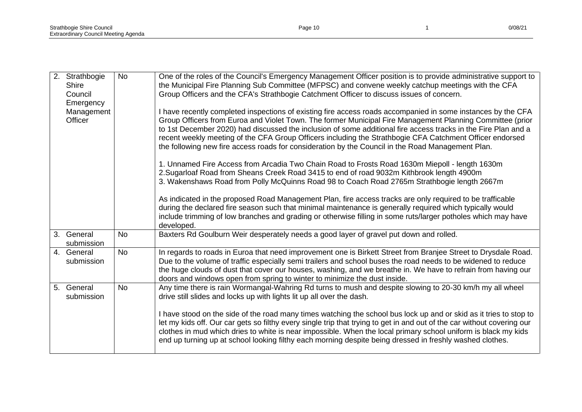| 2. | Strathbogie<br><b>Shire</b><br>Council<br>Emergency | <b>No</b> | One of the roles of the Council's Emergency Management Officer position is to provide administrative support to<br>the Municipal Fire Planning Sub Committee (MFPSC) and convene weekly catchup meetings with the CFA<br>Group Officers and the CFA's Strathbogie Catchment Officer to discuss issues of concern.                                                                                                                                                                                                                                            |
|----|-----------------------------------------------------|-----------|--------------------------------------------------------------------------------------------------------------------------------------------------------------------------------------------------------------------------------------------------------------------------------------------------------------------------------------------------------------------------------------------------------------------------------------------------------------------------------------------------------------------------------------------------------------|
|    | Management<br>Officer                               |           | I have recently completed inspections of existing fire access roads accompanied in some instances by the CFA<br>Group Officers from Euroa and Violet Town. The former Municipal Fire Management Planning Committee (prior<br>to 1st December 2020) had discussed the inclusion of some additional fire access tracks in the Fire Plan and a<br>recent weekly meeting of the CFA Group Officers including the Strathbogie CFA Catchment Officer endorsed<br>the following new fire access roads for consideration by the Council in the Road Management Plan. |
|    |                                                     |           | 1. Unnamed Fire Access from Arcadia Two Chain Road to Frosts Road 1630m Miepoll - length 1630m<br>2. Sugarloaf Road from Sheans Creek Road 3415 to end of road 9032m Kithbrook length 4900m<br>3. Wakenshaws Road from Polly McQuinns Road 98 to Coach Road 2765m Strathbogie length 2667m                                                                                                                                                                                                                                                                   |
|    |                                                     |           | As indicated in the proposed Road Management Plan, fire access tracks are only required to be trafficable<br>during the declared fire season such that minimal maintenance is generally required which typically would<br>include trimming of low branches and grading or otherwise filling in some ruts/larger potholes which may have<br>developed.                                                                                                                                                                                                        |
|    | 3. General<br>submission                            | <b>No</b> | Baxters Rd Goulburn Weir desperately needs a good layer of gravel put down and rolled.                                                                                                                                                                                                                                                                                                                                                                                                                                                                       |
|    | 4. General<br>submission                            | <b>No</b> | In regards to roads in Euroa that need improvement one is Birkett Street from Branjee Street to Drysdale Road.<br>Due to the volume of traffic especially semi trailers and school buses the road needs to be widened to reduce<br>the huge clouds of dust that cover our houses, washing, and we breathe in. We have to refrain from having our<br>doors and windows open from spring to winter to minimize the dust inside.                                                                                                                                |
|    | 5. General<br>submission                            | <b>No</b> | Any time there is rain Wormangal-Wahring Rd turns to mush and despite slowing to 20-30 km/h my all wheel<br>drive still slides and locks up with lights lit up all over the dash.                                                                                                                                                                                                                                                                                                                                                                            |
|    |                                                     |           | I have stood on the side of the road many times watching the school bus lock up and or skid as it tries to stop to<br>let my kids off. Our car gets so filthy every single trip that trying to get in and out of the car without covering our<br>clothes in mud which dries to white is near impossible. When the local primary school uniform is black my kids<br>end up turning up at school looking filthy each morning despite being dressed in freshly washed clothes.                                                                                  |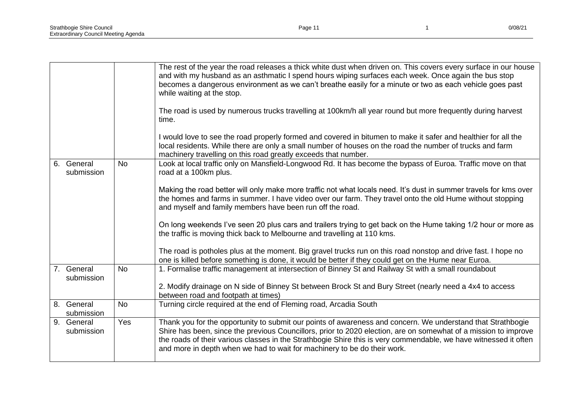|                          |           | The rest of the year the road releases a thick white dust when driven on. This covers every surface in our house<br>and with my husband as an asthmatic I spend hours wiping surfaces each week. Once again the bus stop<br>becomes a dangerous environment as we can't breathe easily for a minute or two as each vehicle goes past<br>while waiting at the stop.                                                             |
|--------------------------|-----------|--------------------------------------------------------------------------------------------------------------------------------------------------------------------------------------------------------------------------------------------------------------------------------------------------------------------------------------------------------------------------------------------------------------------------------|
|                          |           | The road is used by numerous trucks travelling at 100km/h all year round but more frequently during harvest<br>time.                                                                                                                                                                                                                                                                                                           |
|                          |           | I would love to see the road properly formed and covered in bitumen to make it safer and healthier for all the<br>local residents. While there are only a small number of houses on the road the number of trucks and farm<br>machinery travelling on this road greatly exceeds that number.                                                                                                                                   |
| 6. General<br>submission | <b>No</b> | Look at local traffic only on Mansfield-Longwood Rd. It has become the bypass of Euroa. Traffic move on that<br>road at a 100km plus.                                                                                                                                                                                                                                                                                          |
|                          |           | Making the road better will only make more traffic not what locals need. It's dust in summer travels for kms over<br>the homes and farms in summer. I have video over our farm. They travel onto the old Hume without stopping<br>and myself and family members have been run off the road.                                                                                                                                    |
|                          |           | On long weekends I've seen 20 plus cars and trailers trying to get back on the Hume taking 1/2 hour or more as<br>the traffic is moving thick back to Melbourne and travelling at 110 kms.                                                                                                                                                                                                                                     |
|                          |           | The road is potholes plus at the moment. Big gravel trucks run on this road nonstop and drive fast. I hope no<br>one is killed before something is done, it would be better if they could get on the Hume near Euroa.                                                                                                                                                                                                          |
| 7. General<br>submission | <b>No</b> | 1. Formalise traffic management at intersection of Binney St and Railway St with a small roundabout                                                                                                                                                                                                                                                                                                                            |
|                          |           | 2. Modify drainage on N side of Binney St between Brock St and Bury Street (nearly need a 4x4 to access<br>between road and footpath at times)                                                                                                                                                                                                                                                                                 |
| 8. General<br>submission | <b>No</b> | Turning circle required at the end of Fleming road, Arcadia South                                                                                                                                                                                                                                                                                                                                                              |
| 9. General<br>submission | Yes       | Thank you for the opportunity to submit our points of awareness and concern. We understand that Strathbogie<br>Shire has been, since the previous Councillors, prior to 2020 election, are on somewhat of a mission to improve<br>the roads of their various classes in the Strathbogie Shire this is very commendable, we have witnessed it often<br>and more in depth when we had to wait for machinery to be do their work. |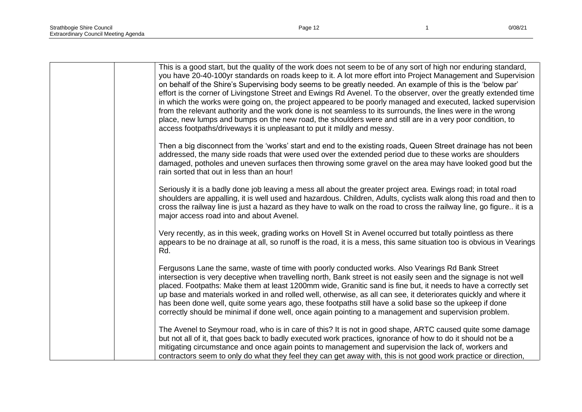| This is a good start, but the quality of the work does not seem to be of any sort of high nor enduring standard,<br>you have 20-40-100yr standards on roads keep to it. A lot more effort into Project Management and Supervision<br>on behalf of the Shire's Supervising body seems to be greatly needed. An example of this is the 'below par'<br>effort is the corner of Livingstone Street and Ewings Rd Avenel. To the observer, over the greatly extended time<br>in which the works were going on, the project appeared to be poorly managed and executed, lacked supervision<br>from the relevant authority and the work done is not seamless to its surrounds, the lines were in the wrong<br>place, new lumps and bumps on the new road, the shoulders were and still are in a very poor condition, to<br>access footpaths/driveways it is unpleasant to put it mildly and messy. |
|---------------------------------------------------------------------------------------------------------------------------------------------------------------------------------------------------------------------------------------------------------------------------------------------------------------------------------------------------------------------------------------------------------------------------------------------------------------------------------------------------------------------------------------------------------------------------------------------------------------------------------------------------------------------------------------------------------------------------------------------------------------------------------------------------------------------------------------------------------------------------------------------|
| Then a big disconnect from the 'works' start and end to the existing roads, Queen Street drainage has not been<br>addressed, the many side roads that were used over the extended period due to these works are shoulders<br>damaged, potholes and uneven surfaces then throwing some gravel on the area may have looked good but the<br>rain sorted that out in less than an hour!                                                                                                                                                                                                                                                                                                                                                                                                                                                                                                         |
| Seriously it is a badly done job leaving a mess all about the greater project area. Ewings road; in total road<br>shoulders are appalling, it is well used and hazardous. Children, Adults, cyclists walk along this road and then to<br>cross the railway line is just a hazard as they have to walk on the road to cross the railway line, go figure it is a<br>major access road into and about Avenel.                                                                                                                                                                                                                                                                                                                                                                                                                                                                                  |
| Very recently, as in this week, grading works on Hovell St in Avenel occurred but totally pointless as there<br>appears to be no drainage at all, so runoff is the road, it is a mess, this same situation too is obvious in Vearings<br>Rd.                                                                                                                                                                                                                                                                                                                                                                                                                                                                                                                                                                                                                                                |
| Fergusons Lane the same, waste of time with poorly conducted works. Also Vearings Rd Bank Street<br>intersection is very deceptive when travelling north, Bank street is not easily seen and the signage is not well<br>placed. Footpaths: Make them at least 1200mm wide, Granitic sand is fine but, it needs to have a correctly set<br>up base and materials worked in and rolled well, otherwise, as all can see, it deteriorates quickly and where it<br>has been done well, quite some years ago, these footpaths still have a solid base so the upkeep if done<br>correctly should be minimal if done well, once again pointing to a management and supervision problem.                                                                                                                                                                                                             |
| The Avenel to Seymour road, who is in care of this? It is not in good shape, ARTC caused quite some damage<br>but not all of it, that goes back to badly executed work practices, ignorance of how to do it should not be a<br>mitigating circumstance and once again points to management and supervision the lack of, workers and<br>contractors seem to only do what they feel they can get away with, this is not good work practice or direction,                                                                                                                                                                                                                                                                                                                                                                                                                                      |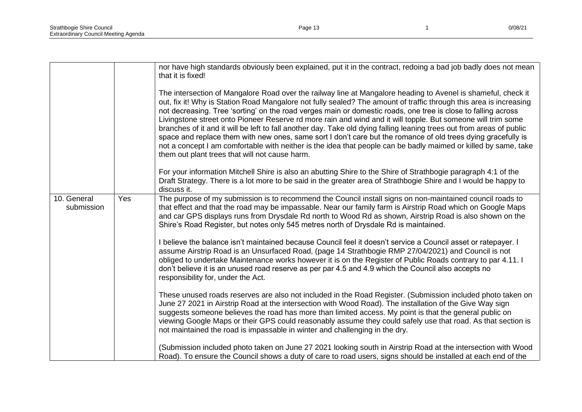|                           |     | nor have high standards obviously been explained, put it in the contract, redoing a bad job badly does not mean<br>that it is fixed!                                                                                                                                                                                                                                                                                                                                                                                                                                                                                                                                                                                                                                                                                                                                                |
|---------------------------|-----|-------------------------------------------------------------------------------------------------------------------------------------------------------------------------------------------------------------------------------------------------------------------------------------------------------------------------------------------------------------------------------------------------------------------------------------------------------------------------------------------------------------------------------------------------------------------------------------------------------------------------------------------------------------------------------------------------------------------------------------------------------------------------------------------------------------------------------------------------------------------------------------|
|                           |     | The intersection of Mangalore Road over the railway line at Mangalore heading to Avenel is shameful, check it<br>out, fix it! Why is Station Road Mangalore not fully sealed? The amount of traffic through this area is increasing<br>not decreasing. Tree 'sorting' on the road verges main or domestic roads, one tree is close to falling across<br>Livingstone street onto Pioneer Reserve rd more rain and wind and it will topple. But someone will trim some<br>branches of it and it will be left to fall another day. Take old dying falling leaning trees out from areas of public<br>space and replace them with new ones, same sort I don't care but the romance of old trees dying gracefully is<br>not a concept I am comfortable with neither is the idea that people can be badly maimed or killed by same, take<br>them out plant trees that will not cause harm. |
|                           |     | For your information Mitchell Shire is also an abutting Shire to the Shire of Strathbogie paragraph 4:1 of the<br>Draft Strategy. There is a lot more to be said in the greater area of Strathbogie Shire and I would be happy to<br>discuss it.                                                                                                                                                                                                                                                                                                                                                                                                                                                                                                                                                                                                                                    |
| 10. General<br>submission | Yes | The purpose of my submission is to recommend the Council install signs on non-maintained council roads to<br>that effect and that the road may be impassable. Near our family farm is Airstrip Road which on Google Maps<br>and car GPS displays runs from Drysdale Rd north to Wood Rd as shown, Airstrip Road is also shown on the<br>Shire's Road Register, but notes only 545 metres north of Drysdale Rd is maintained.                                                                                                                                                                                                                                                                                                                                                                                                                                                        |
|                           |     | I believe the balance isn't maintained because Council feel it doesn't service a Council asset or ratepayer. I<br>assume Airstrip Road is an Unsurfaced Road, (page 14 Strathbogie RMP 27/04/2021) and Council is not<br>obliged to undertake Maintenance works however it is on the Register of Public Roads contrary to par 4.11. I<br>don't believe it is an unused road reserve as per par 4.5 and 4.9 which the Council also accepts no<br>responsibility for, under the Act.                                                                                                                                                                                                                                                                                                                                                                                                  |
|                           |     | These unused roads reserves are also not included in the Road Register. (Submission included photo taken on<br>June 27 2021 in Airstrip Road at the intersection with Wood Road). The installation of the Give Way sign<br>suggests someone believes the road has more than limited access. My point is that the general public on<br>viewing Google Maps or their GPS could reasonably assume they could safely use that road. As that section is<br>not maintained the road is impassable in winter and challenging in the dry.                                                                                                                                                                                                                                                                                                                                                   |
|                           |     | (Submission included photo taken on June 27 2021 looking south in Airstrip Road at the intersection with Wood<br>Road). To ensure the Council shows a duty of care to road users, signs should be installed at each end of the                                                                                                                                                                                                                                                                                                                                                                                                                                                                                                                                                                                                                                                      |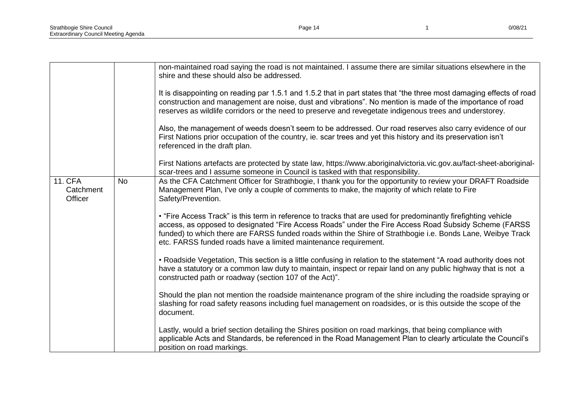|                                        |           | non-maintained road saying the road is not maintained. I assume there are similar situations elsewhere in the<br>shire and these should also be addressed.<br>It is disappointing on reading par 1.5.1 and 1.5.2 that in part states that "the three most damaging effects of road<br>construction and management are noise, dust and vibrations". No mention is made of the importance of road<br>reserves as wildlife corridors or the need to preserve and revegetate indigenous trees and understorey.<br>Also, the management of weeds doesn't seem to be addressed. Our road reserves also carry evidence of our<br>First Nations prior occupation of the country, ie. scar trees and yet this history and its preservation isn't<br>referenced in the draft plan. |
|----------------------------------------|-----------|--------------------------------------------------------------------------------------------------------------------------------------------------------------------------------------------------------------------------------------------------------------------------------------------------------------------------------------------------------------------------------------------------------------------------------------------------------------------------------------------------------------------------------------------------------------------------------------------------------------------------------------------------------------------------------------------------------------------------------------------------------------------------|
|                                        |           | First Nations artefacts are protected by state law, https://www.aboriginalvictoria.vic.gov.au/fact-sheet-aboriginal-<br>scar-trees and I assume someone in Council is tasked with that responsibility.                                                                                                                                                                                                                                                                                                                                                                                                                                                                                                                                                                   |
| <b>11. CFA</b><br>Catchment<br>Officer | <b>No</b> | As the CFA Catchment Officer for Strathbogie, I thank you for the opportunity to review your DRAFT Roadside<br>Management Plan, I've only a couple of comments to make, the majority of which relate to Fire<br>Safety/Prevention.<br>. "Fire Access Track" is this term in reference to tracks that are used for predominantly firefighting vehicle<br>access, as opposed to designated "Fire Access Roads" under the Fire Access Road Subsidy Scheme (FARSS                                                                                                                                                                                                                                                                                                            |
|                                        |           | funded) to which there are FARSS funded roads within the Shire of Strathbogie i.e. Bonds Lane, Weibye Track<br>etc. FARSS funded roads have a limited maintenance requirement.                                                                                                                                                                                                                                                                                                                                                                                                                                                                                                                                                                                           |
|                                        |           | • Roadside Vegetation, This section is a little confusing in relation to the statement "A road authority does not<br>have a statutory or a common law duty to maintain, inspect or repair land on any public highway that is not a<br>constructed path or roadway (section 107 of the Act)".                                                                                                                                                                                                                                                                                                                                                                                                                                                                             |
|                                        |           | Should the plan not mention the roadside maintenance program of the shire including the roadside spraying or<br>slashing for road safety reasons including fuel management on roadsides, or is this outside the scope of the<br>document.                                                                                                                                                                                                                                                                                                                                                                                                                                                                                                                                |
|                                        |           | Lastly, would a brief section detailing the Shires position on road markings, that being compliance with<br>applicable Acts and Standards, be referenced in the Road Management Plan to clearly articulate the Council's<br>position on road markings.                                                                                                                                                                                                                                                                                                                                                                                                                                                                                                                   |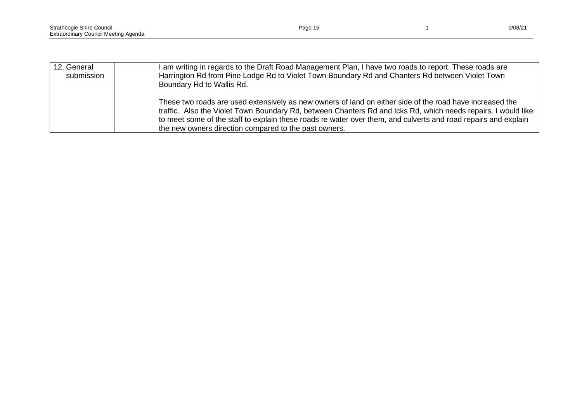| 12. General<br>submission | I am writing in regards to the Draft Road Management Plan, I have two roads to report. These roads are<br>Harrington Rd from Pine Lodge Rd to Violet Town Boundary Rd and Chanters Rd between Violet Town<br>Boundary Rd to Wallis Rd.                                                                                                                                                               |
|---------------------------|------------------------------------------------------------------------------------------------------------------------------------------------------------------------------------------------------------------------------------------------------------------------------------------------------------------------------------------------------------------------------------------------------|
|                           | These two roads are used extensively as new owners of land on either side of the road have increased the<br>traffic. Also the Violet Town Boundary Rd, between Chanters Rd and Icks Rd, which needs repairs. I would like<br>to meet some of the staff to explain these roads re water over them, and culverts and road repairs and explain<br>the new owners direction compared to the past owners. |